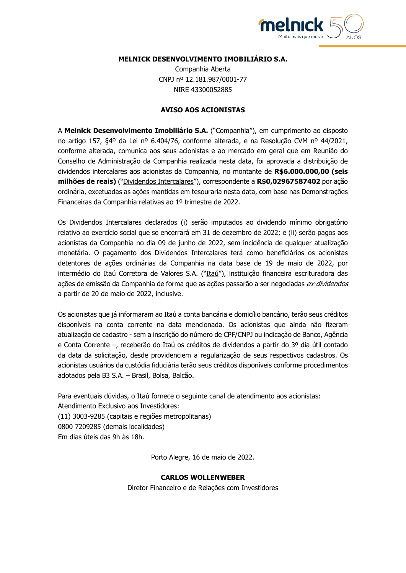

# **MELNICK DESENVOLVIMENTO IMOBILIÁRIO S.A.**

Companhia Aberta CNPJ nº 12.181.987/0001-77 NIRE 43300052885

## **AVISO AOS ACIONISTAS**

A **Melnick Desenvolvimento Imobiliário S.A.** ("Companhia"), em cumprimento ao disposto no artigo 157, §4º da Lei nº 6.404/76, conforme alterada, e na Resolução CVM nº 44/2021, conforme alterada, comunica aos seus acionistas e ao mercado em geral que em Reunião do Conselho de Administração da Companhia realizada nesta data, foi aprovada a distribuição de dividendos intercalares aos acionistas da Companhia, no montante de **R\$6.000.000,00 (seis milhões de reais)** ("Dividendos Intercalares"), correspondente a **R\$0,02967587402** por ação ordinária, excetuadas as ações mantidas em tesouraria nesta data, com base nas Demonstrações Financeiras da Companhia relativas ao 1º trimestre de 2022.

Os Dividendos Intercalares declarados (i) serão imputados ao dividendo mínimo obrigatório relativo ao exercício social que se encerrará em 31 de dezembro de 2022; e (ii) serão pagos aos acionistas da Companhia no dia 09 de junho de 2022, sem incidência de qualquer atualização monetária. O pagamento dos Dividendos Intercalares terá como beneficiários os acionistas detentores de ações ordinárias da Companhia na data base de 19 de maio de 2022, por intermédio do Itaú Corretora de Valores S.A. ("Itaú"), instituição financeira escrituradora das ações de emissão da Companhia de forma que as ações passarão a ser negociadas ex-dividendos a partir de 20 de maio de 2022, inclusive.

Os acionistas que já informaram ao Itaú a conta bancária e domicílio bancário, terão seus créditos disponíveis na conta corrente na data mencionada. Os acionistas que ainda não fizeram atualização de cadastro - sem a inscrição do número de CPF/CNPJ ou indicação de Banco, Agência e Conta Corrente –, receberão do Itaú os créditos de dividendos a partir do 3º dia útil contado da data da solicitação, desde providenciem a regularização de seus respectivos cadastros. Os acionistas usuários da custódia fiduciária terão seus créditos disponíveis conforme procedimentos adotados pela B3 S.A. – Brasil, Bolsa, Balcão.

Para eventuais dúvidas, o Itaú fornece o seguinte canal de atendimento aos acionistas: Atendimento Exclusivo aos Investidores: (11) 3003-9285 (capitais e regiões metropolitanas) 0800 7209285 (demais localidades) Em dias úteis das 9h às 18h.

Porto Alegre, 16 de maio de 2022.

#### **CARLOS WOLLENWEBER**

Diretor Financeiro e de Relações com Investidores